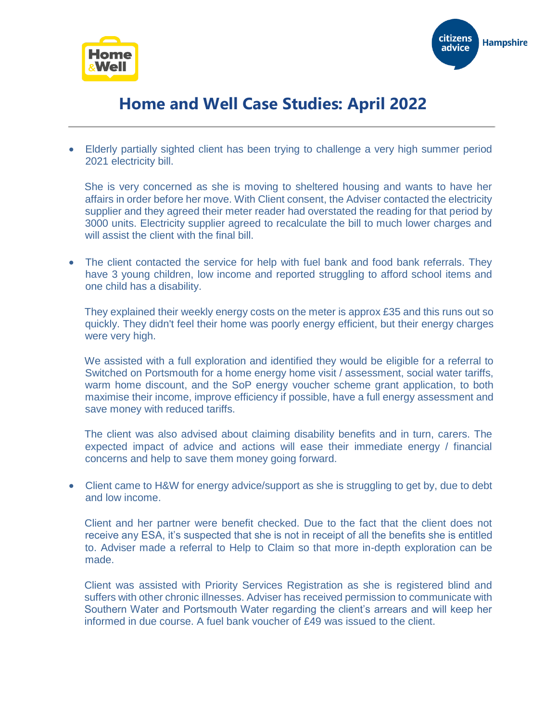



## **Home and Well Case Studies: April 2022**

• Elderly partially sighted client has been trying to challenge a very high summer period 2021 electricity bill.

She is very concerned as she is moving to sheltered housing and wants to have her affairs in order before her move. With Client consent, the Adviser contacted the electricity supplier and they agreed their meter reader had overstated the reading for that period by 3000 units. Electricity supplier agreed to recalculate the bill to much lower charges and will assist the client with the final bill.

• The client contacted the service for help with fuel bank and food bank referrals. They have 3 young children, low income and reported struggling to afford school items and one child has a disability.

They explained their weekly energy costs on the meter is approx £35 and this runs out so quickly. They didn't feel their home was poorly energy efficient, but their energy charges were very high.

We assisted with a full exploration and identified they would be eligible for a referral to Switched on Portsmouth for a home energy home visit / assessment, social water tariffs, warm home discount, and the SoP energy voucher scheme grant application, to both maximise their income, improve efficiency if possible, have a full energy assessment and save money with reduced tariffs.

The client was also advised about claiming disability benefits and in turn, carers. The expected impact of advice and actions will ease their immediate energy / financial concerns and help to save them money going forward.

• Client came to H&W for energy advice/support as she is struggling to get by, due to debt and low income.

Client and her partner were benefit checked. Due to the fact that the client does not receive any ESA, it's suspected that she is not in receipt of all the benefits she is entitled to. Adviser made a referral to Help to Claim so that more in-depth exploration can be made.

Client was assisted with Priority Services Registration as she is registered blind and suffers with other chronic illnesses. Adviser has received permission to communicate with Southern Water and Portsmouth Water regarding the client's arrears and will keep her informed in due course. A fuel bank voucher of £49 was issued to the client.